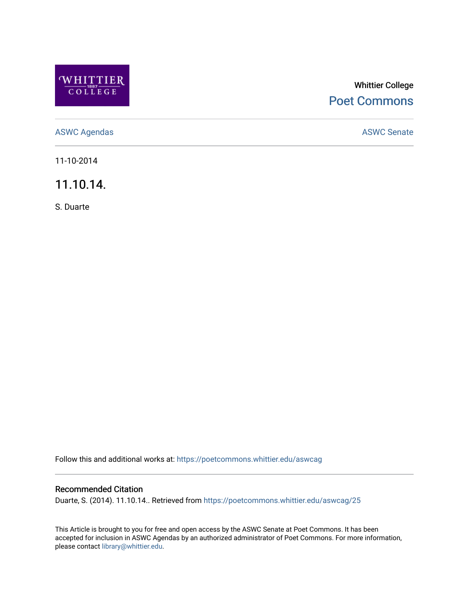

## Whittier College [Poet Commons](https://poetcommons.whittier.edu/)

[ASWC Agendas](https://poetcommons.whittier.edu/aswcag) **ASWC Senate** 

11-10-2014

11.10.14.

S. Duarte

Follow this and additional works at: [https://poetcommons.whittier.edu/aswcag](https://poetcommons.whittier.edu/aswcag?utm_source=poetcommons.whittier.edu%2Faswcag%2F25&utm_medium=PDF&utm_campaign=PDFCoverPages) 

## Recommended Citation

Duarte, S. (2014). 11.10.14.. Retrieved from [https://poetcommons.whittier.edu/aswcag/25](https://poetcommons.whittier.edu/aswcag/25?utm_source=poetcommons.whittier.edu%2Faswcag%2F25&utm_medium=PDF&utm_campaign=PDFCoverPages)

This Article is brought to you for free and open access by the ASWC Senate at Poet Commons. It has been accepted for inclusion in ASWC Agendas by an authorized administrator of Poet Commons. For more information, please contact [library@whittier.edu](mailto:library@whittier.edu).